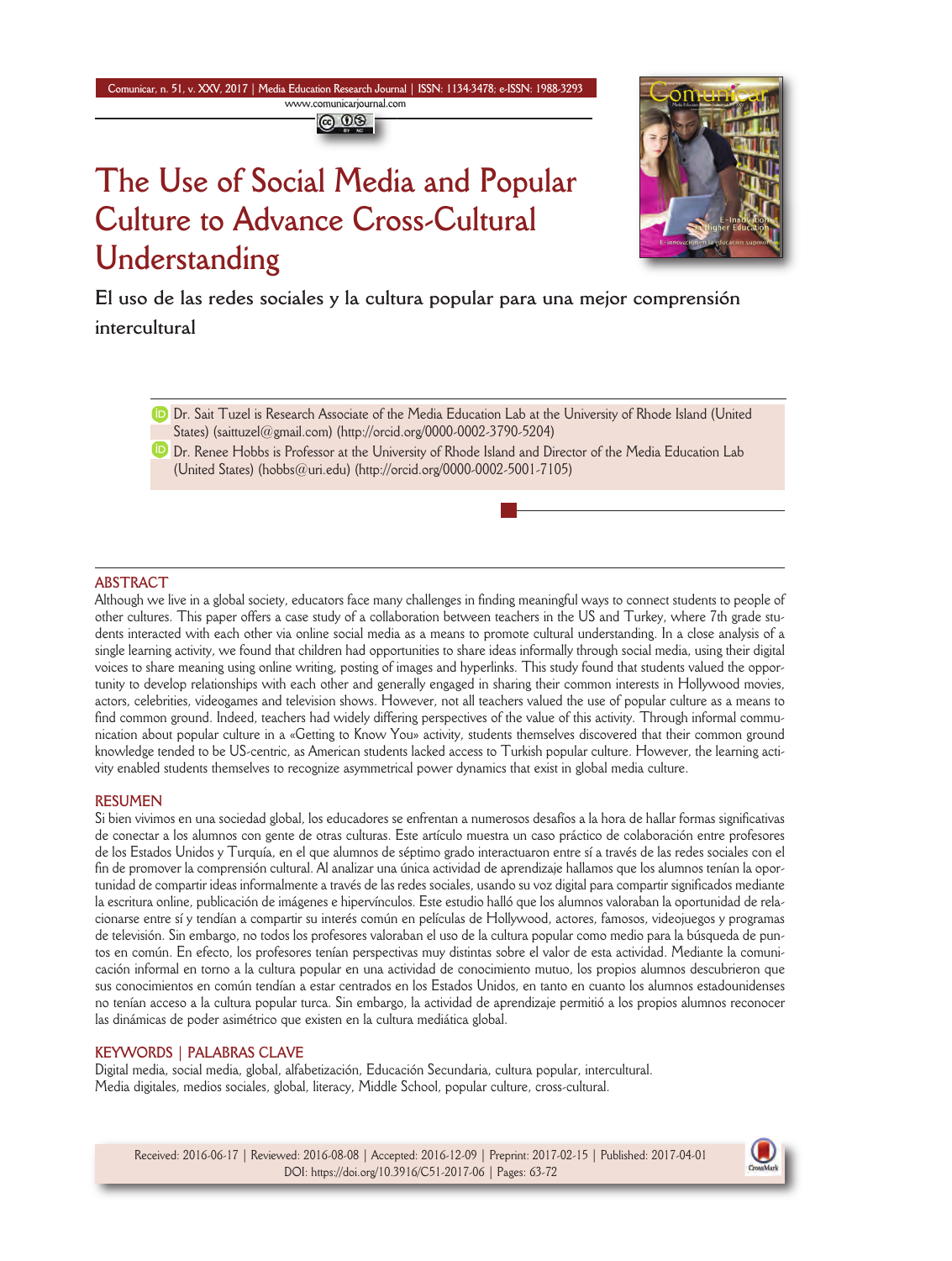**Comunicar, n. 51, v. XXV, 2017 | Media Education Research Journal | ISSN: 1134-3478; e-ISSN: 1988-3293 www.comunicarjournal.com**

@ 00

# **The Use of Social Media and Popular Culture to Advance Cross-Cultural Understanding**



**El uso de las redes sociales y la cultura popular para una mejor comprensión intercultural**

**D** Dr. Sait Tuzel is Research Associate of the Media Education Lab at the University of Rhode Island (United States) (saittuzel@gmail.com) (http://orcid.org/0000-0002-3790-5204)

**D** Dr. Renee Hobbs is Professor at the University of Rhode Island and Director of the Media Education Lab (United States) (hobbs@uri.edu) (http://orcid.org/0000-0002-5001-7105)

## **ABSTRACT**

Although we live in a global society, educators face many challenges in finding meaningful ways to connect students to people of other cultures. This paper offers a case study of a collaboration between teachers in the US and Turkey, where 7th grade students interacted with each other via online social media as a means to promote cultural understanding. in a close analysis of a single learning activity, we found that children had opportunities to share ideas informally through social media, using their digital voices to share meaning using online writing, posting of images and hyperlinks. This study found that students valued the opportunity to develop relationships with each other and generally engaged in sharing their common interests in Hollywood movies, actors, celebrities, videogames and television shows. However, not all teachers valued the use of popular culture as a means to find common ground. Indeed, teachers had widely differing perspectives of the value of this activity. Through informal communication about popular culture in a «Getting to Know You» activity, students themselves discovered that their common ground knowledge tended to be US-centric, as American students lacked access to Turkish popular culture. However, the learning activity enabled students themselves to recognize asymmetrical power dynamics that exist in global media culture.

#### **RESUMEN**

Si bien vivimos en una sociedad global, los educadores se enfrentan a numerosos desafíos a la hora de hallar formas significativas de conectar a los alumnos con gente de otras culturas. Este artículo muestra un caso práctico de colaboración entre profesores de los Estados Unidos y Turquía, en el que alumnos de séptimo grado interactuaron entre sí a través de las redes sociales con el fin de promover la comprensión cultural. Al analizar una única actividad de aprendizaje hallamos que los alumnos tenían la oportunidad de compartir ideas informalmente a través de las redes sociales, usando su voz digital para compartir significados mediante la escritura online, publicación de imágenes e hipervínculos. Este estudio halló que los alumnos valoraban la oportunidad de relacionarse entre sí y tendían a compartir su interés común en películas de Hollywood, actores, famosos, videojuegos y programas de televisión. Sin embargo, no todos los profesores valoraban el uso de la cultura popular como medio para la búsqueda de puntos en común. En efecto, los profesores tenían perspectivas muy distintas sobre el valor de esta actividad. Mediante la comunicación informal en torno a la cultura popular en una actividad de conocimiento mutuo, los propios alumnos descubrieron que sus conocimientos en común tendían a estar centrados en los Estados Unidos, en tanto en cuanto los alumnos estadounidenses no tenían acceso a la cultura popular turca. Sin embargo, la actividad de aprendizaje permitió a los propios alumnos reconocer las dinámicas de poder asimétrico que existen en la cultura mediática global.

#### **KEYWORDS | PALABRAS CLAVE**

Digital media, social media, global, alfabetización, Educación Secundaria, cultura popular, intercultural. Media digitales, medios sociales, global, literacy, Middle School, popular culture, cross-cultural.



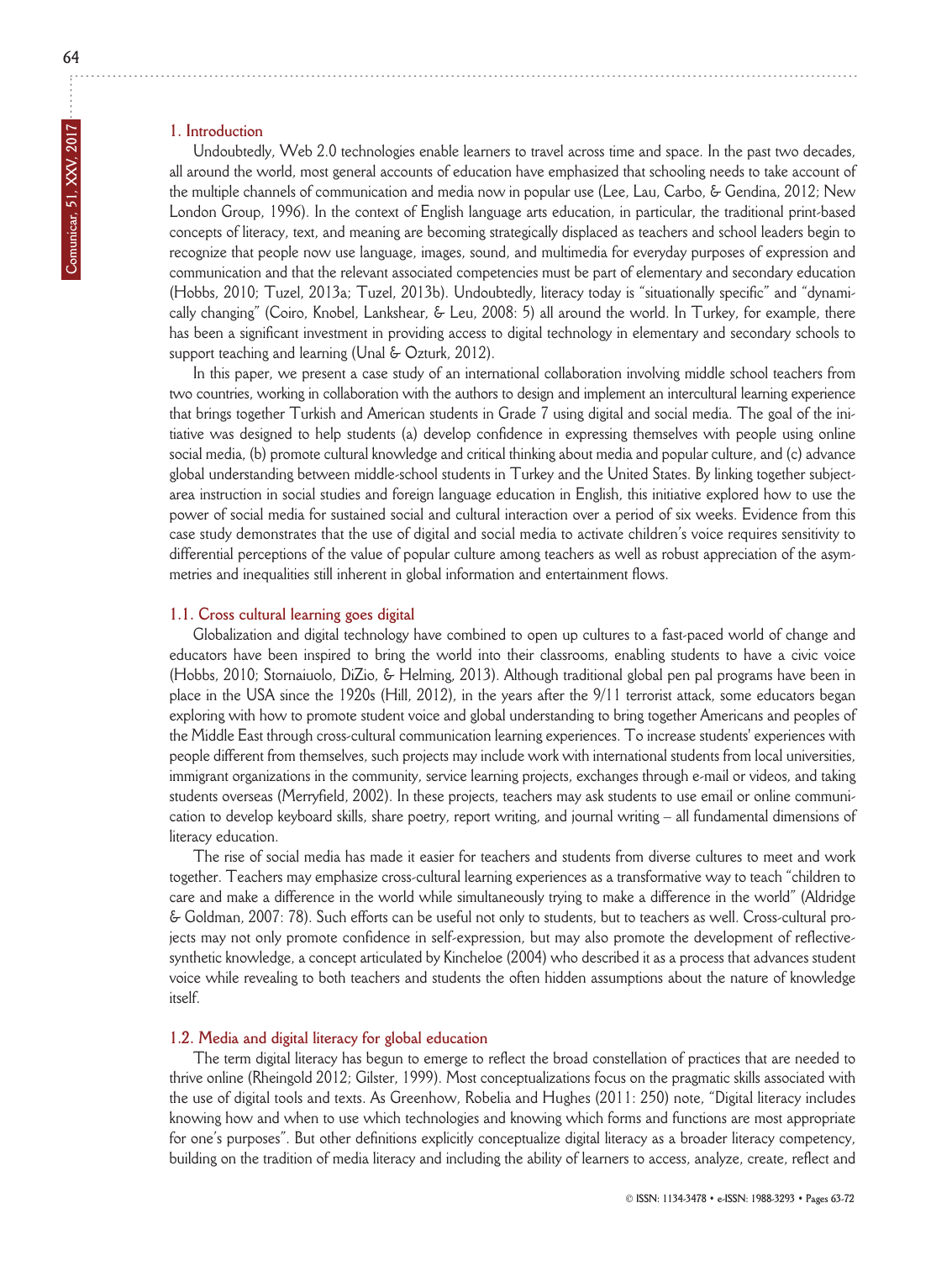## **1. Introduction**

Undoubtedly, Web 2.0 technologies enable learners to travel across time and space. in the past two decades, all around the world, most general accounts of education have emphasized that schooling needs to take account of the multiple channels of communication and media now in popular use (Lee, Lau, Carbo, & Gendina, 2012; New London Group, 1996). In the context of English language arts education, in particular, the traditional print-based concepts of literacy, text, and meaning are becoming strategically displaced as teachers and school leaders begin to recognize that people now use language, images, sound, and multimedia for everyday purposes of expression and communication and that the relevant associated competencies must be part of elementary and secondary education (Hobbs, 2010; Tuzel, 2013a; Tuzel, 2013b). Undoubtedly, literacy today is "situationally specific" and "dynamically changing" (Coiro, Knobel, Lankshear, & Leu, 2008: 5) all around the world. in Turkey, for example, there has been a significant investment in providing access to digital technology in elementary and secondary schools to support teaching and learning (Unal & Ozturk, 2012).

in this paper, we present a case study of an international collaboration involving middle school teachers from two countries, working in collaboration with the authors to design and implement an intercultural learning experience that brings together Turkish and American students in Grade 7 using digital and social media. The goal of the initiative was designed to help students (a) develop confidence in expressing themselves with people using online social media, (b) promote cultural knowledge and critical thinking about media and popular culture, and (c) advance global understanding between middle-school students in Turkey and the United States. By linking together subjectarea instruction in social studies and foreign language education in English, this initiative explored how to use the power of social media for sustained social and cultural interaction over a period of six weeks. Evidence from this case study demonstrates that the use of digital and social media to activate children's voice requires sensitivity to differential perceptions of the value of popular culture among teachers as well as robust appreciation of the asymmetries and inequalities still inherent in global information and entertainment flows.

### **1.1. Cross cultural learning goes digital**

Globalization and digital technology have combined to open up cultures to a fast-paced world of change and educators have been inspired to bring the world into their classrooms, enabling students to have a civic voice (Hobbs, 2010; Stornaiuolo, DiZio, & Helming, 2013). Although traditional global pen pal programs have been in place in the USA since the 1920s (Hill, 2012), in the years after the 9/11 terrorist attack, some educators began exploring with how to promote student voice and global understanding to bring together Americans and peoples of the Middle East through cross-cultural communication learning experiences. To increase students' experiences with people different from themselves, such projects may include work with international students from local universities, immigrant organizations in the community, service learning projects, exchanges through e-mail or videos, and taking students overseas (Merryfield, 2002). in these projects, teachers may ask students to use email or online communication to develop keyboard skills, share poetry, report writing, and journal writing – all fundamental dimensions of literacy education.

The rise of social media has made it easier for teachers and students from diverse cultures to meet and work together. Teachers may emphasize cross-cultural learning experiences as a transformative way to teach "children to care and make a difference in the world while simultaneously trying to make a difference in the world" (Aldridge & goldman, 2007: 78). Such efforts can be useful not only to students, but to teachers as well. Cross-cultural projects may not only promote confidence in self-expression, but may also promote the development of reflectivesynthetic knowledge, a concept articulated by Kincheloe (2004) who described it as a process that advances student voice while revealing to both teachers and students the often hidden assumptions about the nature of knowledge itself.

#### **1.2. Media and digital literacy for global education**

The term digital literacy has begun to emerge to reflect the broad constellation of practices that are needed to thrive online (Rheingold 2012; Gilster, 1999). Most conceptualizations focus on the pragmatic skills associated with the use of digital tools and texts. As Greenhow, Robelia and Hughes (2011: 250) note, "Digital literacy includes knowing how and when to use which technologies and knowing which forms and functions are most appropriate for one's purposes". But other definitions explicitly conceptualize digital literacy as a broader literacy competency, building on the tradition of media literacy and including the ability of learners to access, analyze, create, reflect and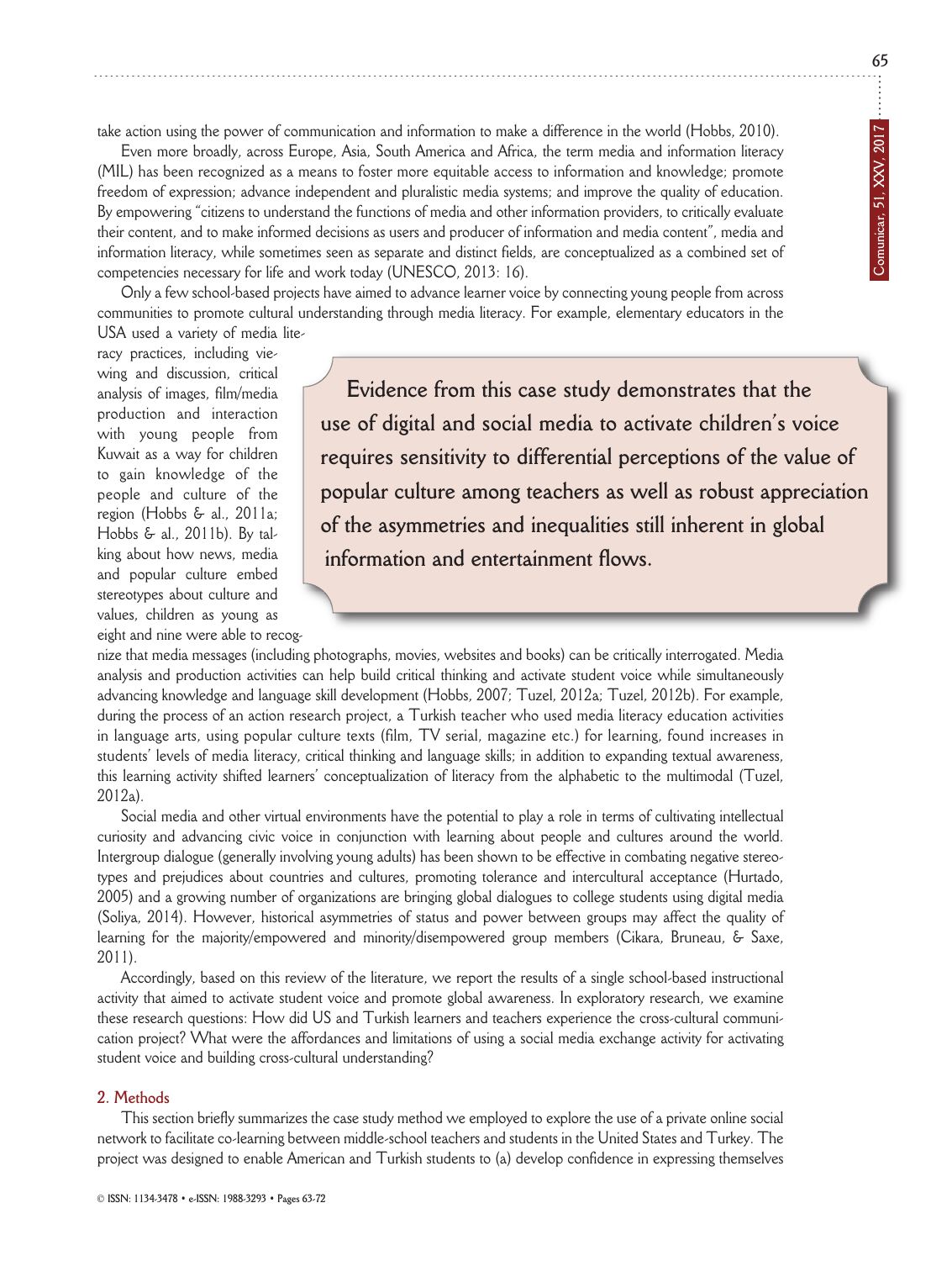**65**

take action using the power of communication and information to make a difference in the world (Hobbs, 2010).

Even more broadly, across Europe, Asia, South America and Africa, the term media and information literacy (MiL) has been recognized as a means to foster more equitable access to information and knowledge; promote freedom of expression; advance independent and pluralistic media systems; and improve the quality of education. By empowering "citizens to understand the functions of media and other information providers, to critically evaluate their content, and to make informed decisions as users and producer of information and media content", media and information literacy, while sometimes seen as separate and distinct fields, are conceptualized as a combined set of competencies necessary for life and work today (UNESCO, 2013: 16).

Only a few school-based projects have aimed to advance learner voice by connecting young people from across communities to promote cultural understanding through media literacy. For example, elementary educators in the USA used a variety of media lite-

racy practices, including viewing and discussion, critical analysis of images, film/media production and interaction with young people from Kuwait as a way for children to gain knowledge of the people and culture of the region (Hobbs & al., 2011a; Hobbs & al., 2011b). By talking about how news, media and popular culture embed stereotypes about culture and values, children as young as eight and nine were able to recog-

**Evidence from this case study demonstrates that the use of digital and social media to activate children's voice requires sensitivity to differential perceptions of the value of popular culture among teachers as well as robust appreciation of the asymmetries and inequalities still inherent in global information and entertainment flows.**

nize that media messages (including photographs, movies, websites and books) can be critically interrogated. Media analysis and production activities can help build critical thinking and activate student voice while simultaneously advancing knowledge and language skill development (Hobbs, 2007; Tuzel, 2012a; Tuzel, 2012b). For example, during the process of an action research project, a Turkish teacher who used media literacy education activities in language arts, using popular culture texts (film, Tv serial, magazine etc.) for learning, found increases in students' levels of media literacy, critical thinking and language skills; in addition to expanding textual awareness, this learning activity shifted learners' conceptualization of literacy from the alphabetic to the multimodal (Tuzel, 2012a).

Social media and other virtual environments have the potential to play a role in terms of cultivating intellectual curiosity and advancing civic voice in conjunction with learning about people and cultures around the world. Intergroup dialogue (generally involving young adults) has been shown to be effective in combating negative stereotypes and prejudices about countries and cultures, promoting tolerance and intercultural acceptance (Hurtado, 2005) and a growing number of organizations are bringing global dialogues to college students using digital media (Soliya, 2014). However, historical asymmetries of status and power between groups may affect the quality of learning for the majority/empowered and minority/disempowered group members (Cikara, Bruneau, & Saxe, 2011).

Accordingly, based on this review of the literature, we report the results of a single school-based instructional activity that aimed to activate student voice and promote global awareness. in exploratory research, we examine these research questions: How did US and Turkish learners and teachers experience the cross-cultural communication project? What were the affordances and limitations of using a social media exchange activity for activating student voice and building cross-cultural understanding?

#### **2. Methods**

This section briefly summarizes the case study method we employed to explore the use of a private online social network to facilitate co-learning between middle-school teachers and students in the United States and Turkey. The project was designed to enable American and Turkish students to (a) develop confidence in expressing themselves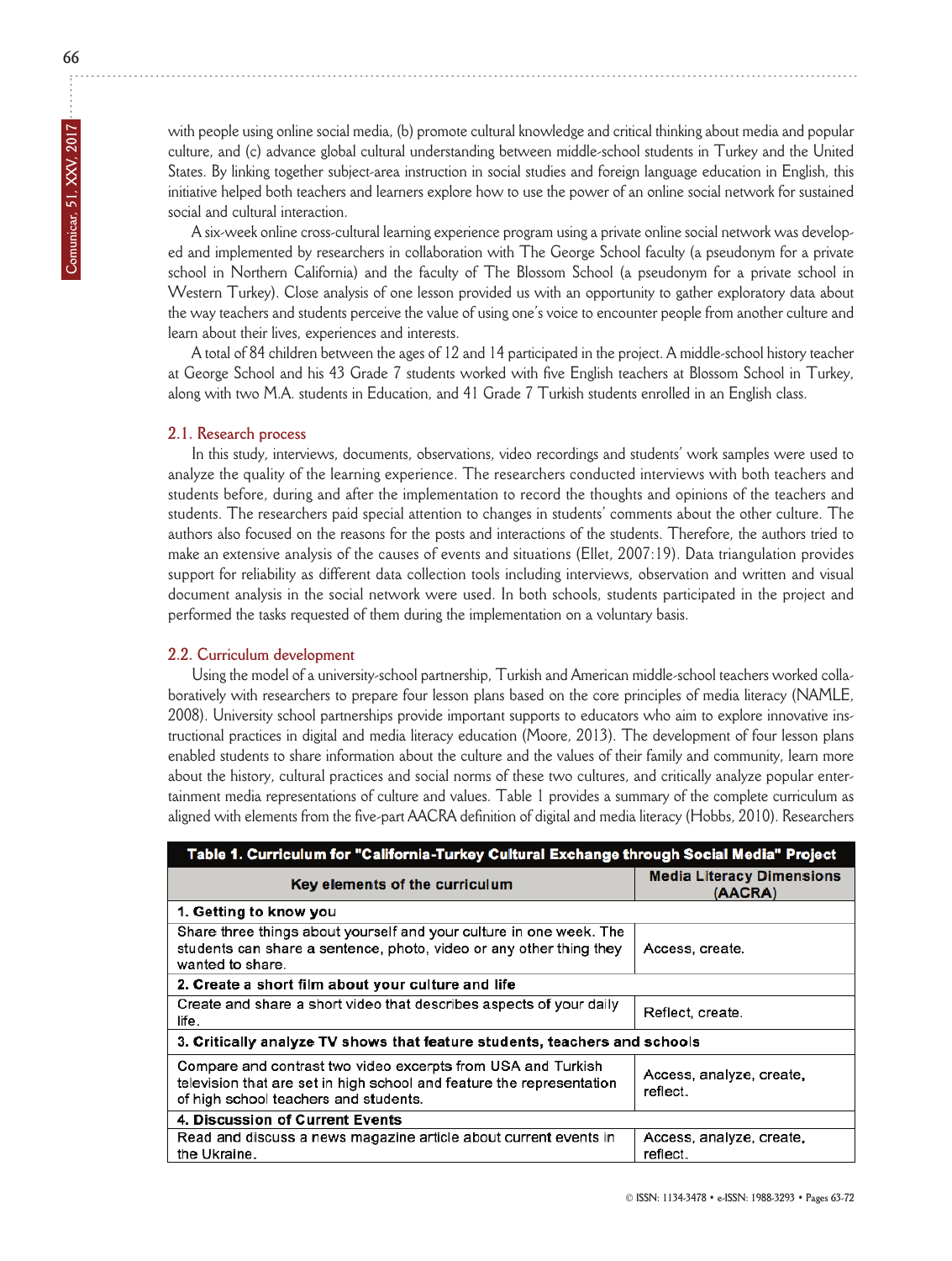with people using online social media, (b) promote cultural knowledge and critical thinking about media and popular culture, and (c) advance global cultural understanding between middle-school students in Turkey and the United States. By linking together subject-area instruction in social studies and foreign language education in English, this initiative helped both teachers and learners explore how to use the power of an online social network for sustained social and cultural interaction.

A six-week online cross-cultural learning experience program using a private online social network was develop ed and implemented by researchers in collaboration with The george School faculty (a pseudonym for a private school in northern California) and the faculty of The Blossom School (a pseudonym for a private school in Western Turkey). Close analysis of one lesson provided us with an opportunity to gather exploratory data about the way teachers and students perceive the value of using one's voice to encounter people from another culture and learn about their lives, experiences and interests.

A total of 84 children between the ages of 12 and 14 participated in the project. A middle-school history teacher at george School and his 43 grade 7 students worked with five English teachers at Blossom School in Turkey, along with two M.A. students in Education, and 41 Grade 7 Turkish students enrolled in an English class.

### **2.1. Research process**

In this study, interviews, documents, observations, video recordings and students' work samples were used to analyze the quality of the learning experience. The researchers conducted interviews with both teachers and students before, during and after the implementation to record the thoughts and opinions of the teachers and students. The researchers paid special attention to changes in students' comments about the other culture. The authors also focused on the reasons for the posts and interactions of the students. Therefore, the authors tried to make an extensive analysis of the causes of events and situations (Ellet, 2007:19). Data triangulation provides support for reliability as different data collection tools including interviews, observation and written and visual document analysis in the social network were used. in both schools, students participated in the project and performed the tasks requested of them during the implementation on a voluntary basis.

#### **2.2. Curriculum development**

Using the model of a university-school partnership, Turkish and American middle-school teachers worked collaboratively with researchers to prepare four lesson plans based on the core principles of media literacy (nAMLE, 2008). University school partnerships provide important supports to educators who aim to explore innovative instructional practices in digital and media literacy education (Moore, 2013). The development of four lesson plans enabled students to share information about the culture and the values of their family and community, learn more about the history, cultural practices and social norms of these two cultures, and critically analyze popular entertainment media representations of culture and values. Table 1 provides a summary of the complete curriculum as aligned with elements from the five-part AACRA definition of digital and media literacy (Hobbs, 2010). Researchers

| Table 1. Curriculum for "California-Turkey Cultural Exchange through Social Media" Project                                                                                     |                                             |
|--------------------------------------------------------------------------------------------------------------------------------------------------------------------------------|---------------------------------------------|
| Key elements of the curriculum                                                                                                                                                 | <b>Media Literacy Dimensions</b><br>(AACRA) |
| 1. Getting to know you                                                                                                                                                         |                                             |
| Share three things about yourself and your culture in one week. The<br>students can share a sentence, photo, video or any other thing they<br>wanted to share.                 | Access, create.                             |
| 2. Create a short film about your culture and life                                                                                                                             |                                             |
| Create and share a short video that describes aspects of your daily<br>life.                                                                                                   | Reflect, create.                            |
| 3. Critically analyze TV shows that feature students, teachers and schools                                                                                                     |                                             |
| Compare and contrast two video excerpts from USA and Turkish<br>television that are set in high school and feature the representation<br>of high school teachers and students. | Access, analyze, create,<br>reflect.        |
| 4. Discussion of Current Events                                                                                                                                                |                                             |
| Read and discuss a news magazine article about current events in<br>the Ukraine.                                                                                               | Access, analyze, create,<br>reflect.        |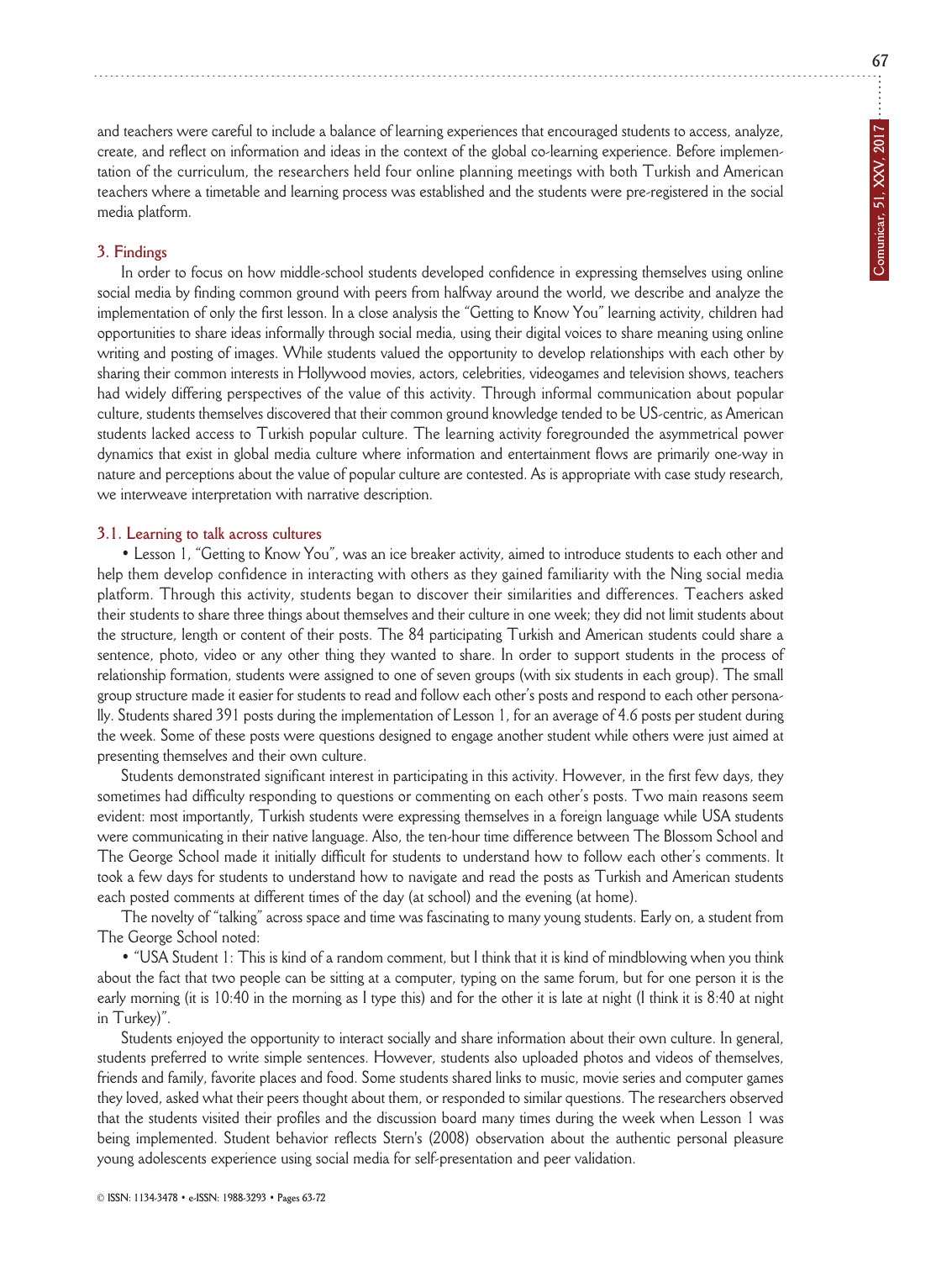**67**

and teachers were careful to include a balance of learning experiences that encouraged students to access, analyze, create, and reflect on information and ideas in the context of the global co-learning experience. Before implementation of the curriculum, the researchers held four online planning meetings with both Turkish and American teachers where a timetable and learning process was established and the students were pre-registered in the social media platform.

#### **3. Findings**

in order to focus on how middle-school students developed confidence in expressing themselves using online social media by finding common ground with peers from halfway around the world, we describe and analyze the implementation of only the first lesson. in a close analysis the "getting to Know You" learning activity, children had opportunities to share ideas informally through social media, using their digital voices to share meaning using online writing and posting of images. While students valued the opportunity to develop relationships with each other by sharing their common interests in Hollywood movies, actors, celebrities, videogames and television shows, teachers had widely differing perspectives of the value of this activity. Through informal communication about popular culture, students themselves discovered that their common ground knowledge tended to be US-centric, as American students lacked access to Turkish popular culture. The learning activity foregrounded the asymmetrical power dynamics that exist in global media culture where information and entertainment flows are primarily one-way in nature and perceptions about the value of popular culture are contested. As is appropriate with case study research, we interweave interpretation with narrative description.

#### **3.1. Learning to talk across cultures**

• Lesson 1, "Getting to Know You", was an ice breaker activity, aimed to introduce students to each other and help them develop confidence in interacting with others as they gained familiarity with the Ning social media platform. Through this activity, students began to discover their similarities and differences. Teachers asked their students to share three things about themselves and their culture in one week; they did not limit students about the structure, length or content of their posts. The 84 participating Turkish and American students could share a sentence, photo, video or any other thing they wanted to share. in order to support students in the process of relation ship formation, students were assigned to one of seven groups (with six students in each group). The small group structure made it easier for students to read and follow each other's posts and respond to each other persona lly. Students shared 391 posts during the implementation of Lesson 1, for an average of 4.6 posts per student during the week. Some of these posts were questions designed to engage another student while others were just aimed at presenting themselves and their own culture.

Students demonstrated significant interest in participating in this activity. However, in the first few days, they sometimes had difficulty responding to questions or commenting on each other's posts. Two main reasons seem evident: most importantly, Turkish students were expressing themselves in a foreign language while USA students were communicating in their native language. Also, the ten-hour time difference between The Blossom School and The george School made it initially difficult for students to understand how to follow each other's comments. it took a few days for students to understand how to navigate and read the posts as Turkish and American students each posted comments at different times of the day (at school) and the evening (at home).

The novelty of "talking" across space and time was fascinating to many young students. Early on, a student from The George School noted:

• "USA Student 1: This is kind of a random comment, but I think that it is kind of mindblowing when you think about the fact that two people can be sitting at a computer, typing on the same forum, but for one person it is the early morning (it is 10:40 in the morning as I type this) and for the other it is late at night (I think it is 8:40 at night in Turkey)".

Students enjoyed the opportunity to interact socially and share information about their own culture. in general, students preferred to write simple sentences. However, students also uploaded photos and videos of themselves, friends and family, favorite places and food. Some students shared links to music, movie series and computer games they loved, asked what their peers thought about them, or responded to similar questions. The researchers observed that the students visited their profiles and the discussion board many times during the week when Lesson 1 was being implemented. Student behavior reflects Stern's (2008) observation about the authentic personal pleasure young adolescents experience using social media for self-presentation and peer validation.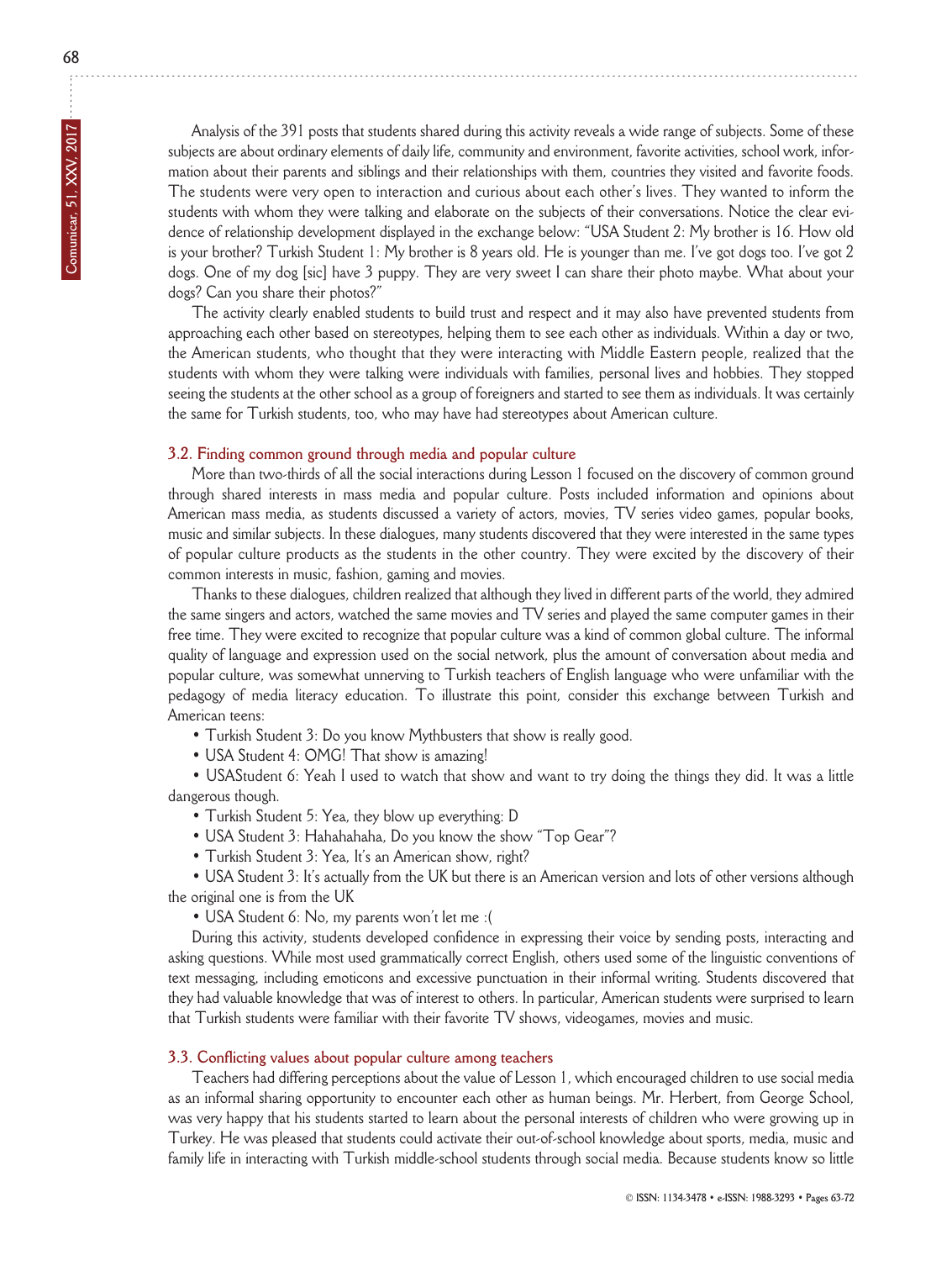Analysis of the 391 posts that students shared during this activity reveals a wide range of subjects. Some of these subjects are about ordinary elements of daily life, community and environment, favorite activities, school work, information about their parents and siblings and their relationships with them, countries they visited and favorite foods. The students were very open to interaction and curious about each other's lives. They wanted to inform the students with whom they were talking and elaborate on the subjects of their conversations. Notice the clear evidence of relationship development displayed in the exchange below: "USA Student 2: My brother is 16. How old is your brother? Turkish Student 1: My brother is 8 years old. He is younger than me. I've got dogs too. I've got 2 dogs. One of my dog [sic] have 3 puppy. They are very sweet I can share their photo maybe. What about your dogs? Can you share their photos?"

The activity clearly enabled students to build trust and respect and it may also have prevented students from approaching each other based on stereotypes, helping them to see each other as individuals. Within a day or two, the American students, who thought that they were interacting with Middle Eastern people, realized that the students with whom they were talking were individuals with families, personal lives and hobbies. They stopped seeing the students at the other school as a group of foreigners and started to see them as individuals. it was certainly the same for Turkish students, too, who may have had stereotypes about American culture.

#### **3.2. Finding common ground through media and popular culture**

More than two-thirds of all the social interactions during Lesson 1 focused on the discovery of common ground through shared interests in mass media and popular culture. Posts included information and opinions about American mass media, as students discussed a variety of actors, movies, Tv series video games, popular books, music and similar subjects. in these dialogues, many students discovered that they were interested in the same types of popular culture products as the students in the other country. They were excited by the discovery of their common interests in music, fashion, gaming and movies.

Thanks to these dialogues, children realized that although they lived in different parts of the world, they admired the same singers and actors, watched the same movies and Tv series and played the same computer games in their free time. They were excited to recognize that popular culture was a kind of common global culture. The informal quality of language and expression used on the social network, plus the amount of conversation about media and popular culture, was somewhat unnerving to Turkish teachers of English language who were unfamiliar with the pedagogy of media literacy education. To illustrate this point, consider this exchange between Turkish and American teens:

- Turkish Student 3: Do you know Mythbusters that show is really good.
- USA Student 4: OMG! That show is amazing!

• USAStudent 6: Yeah I used to watch that show and want to try doing the things they did. It was a little dangerous though.

- Turkish Student 5: Yea, they blow up everything: D
- USA Student 3: Hahahahaha, Do you know the show "Top Gear"?
- Turkish Student 3: Yea, it's an American show, right?

• USA Student 3: it's actually from the UK but there is an American version and lots of other versions although the original one is from the UK

• USA Student 6: No, my parents won't let me : (

During this activity, students developed confidence in expressing their voice by sending posts, interacting and asking questions. While most used grammatically correct English, others used some of the linguistic conventions of text messaging, including emoticons and excessive punctuation in their informal writing. Students discovered that they had valuable knowledge that was of interest to others. in particular, American students were surprised to learn that Turkish students were familiar with their favorite Tv shows, videogames, movies and music.

#### **3.3. Conflicting values about popular culture among teachers**

Teachers had differing perceptions about the value of Lesson 1, which encouraged children to use social media as an informal sharing opportunity to encounter each other as human beings. Mr. Herbert, from george School, was very happy that his students started to learn about the personal interests of children who were growing up in Turkey. He was pleased that students could activate their out-of-school knowledge about sports, media, music and family life in interacting with Turkish middle-school students through social media. Because students know so little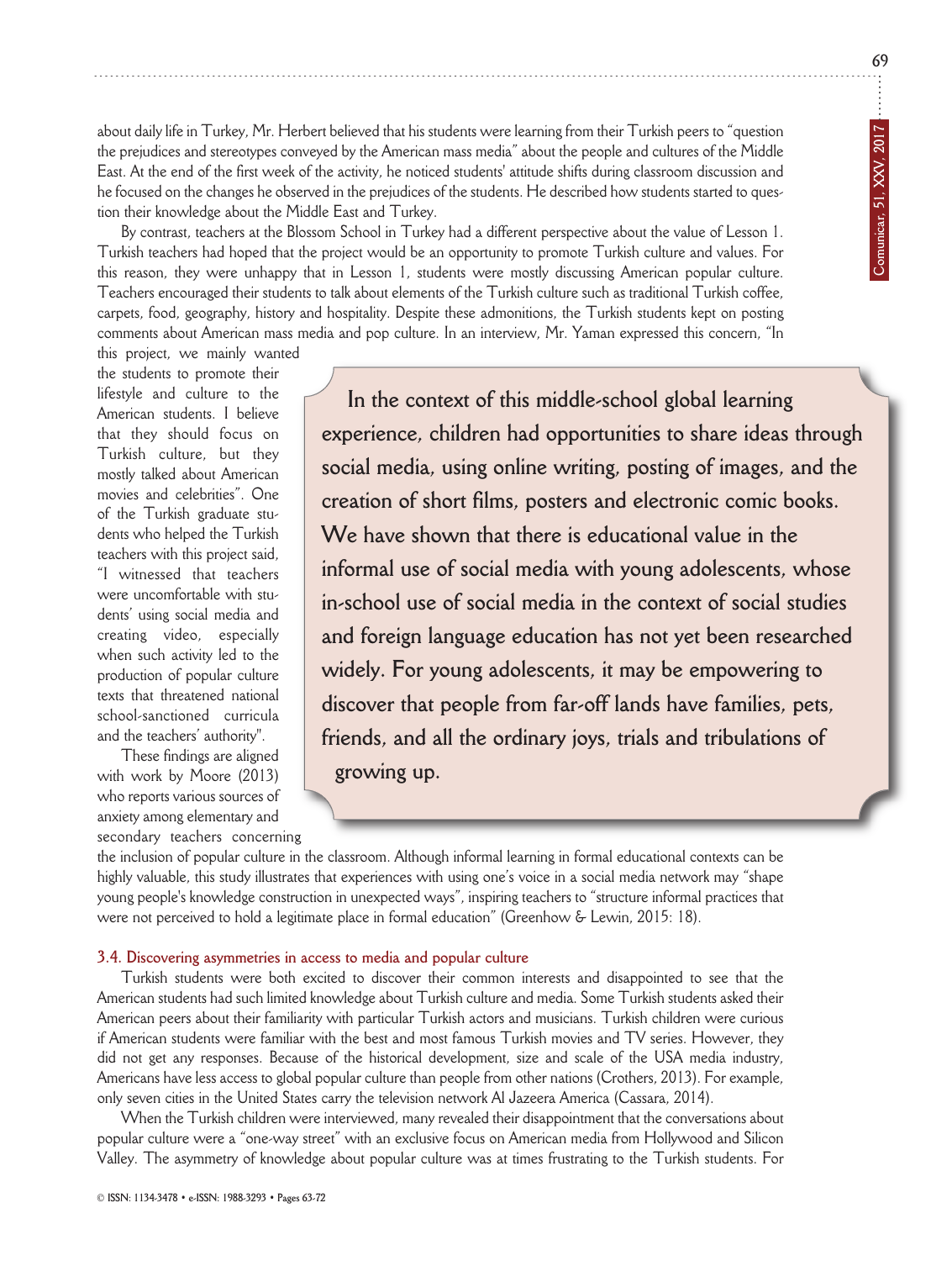**69**

about daily life in Turkey, Mr. Herbert believed that his students were learning from their Turkish peers to "question the prejudices and stereotypes conveyed by the American mass media" about the people and cultures of the Middle East. At the end of the first week of the activity, he noticed students' attitude shifts during classroom discussion and he focused on the changes he observed in the prejudices of the students. He described how students started to question their knowledge about the Middle East and Turkey.

By contrast, teachers at the Blossom School in Turkey had a different perspective about the value of Lesson 1. Turkish teachers had hoped that the project would be an opportunity to promote Turkish culture and values. For this reason, they were unhappy that in Lesson 1, students were mostly discussing American popular culture. Teachers encouraged their students to talk about elements of the Turkish culture such as traditional Turkish coffee, carpets, food, geography, history and hospitality. Despite these admonitions, the Turkish students kept on posting comments about American mass media and pop culture. in an interview, Mr. Yaman expressed this concern, "in

this project, we mainly wanted the students to promote their lifestyle and culture to the American students. I believe that they should focus on Turkish culture, but they mostly talked about American movies and celebrities". One of the Turkish graduate students who helped the Turkish teachers with this project said, "i witnessed that teachers were uncomfortable with students' using social media and creating video, especially when such activity led to the production of popular culture texts that threatened national school-sanctioned curricula and the teachers' authority".

These findings are aligned with work by Moore (2013) who reports various sources of anxiety among elementary and secondary teachers concerning

**In the context of this middle-school global learning experience, children had opportunities to share ideas through social media, using online writing, posting of images, and the creation of short films, posters and electronic comic books. We have shown that there is educational value in the informal use of social media with young adolescents, whose in-school use of social media in the context of social studies and foreign language education has not yet been researched widely. For young adolescents, it may be empowering to discover that people from far-off lands have families, pets, friends, and all the ordinary joys, trials and tribulations of growing up.** 

the inclusion of popular culture in the classroom. Although informal learning in formal educational contexts can be highly valuable, this study illustrates that experiences with using one's voice in a social media network may "shape young people's knowledge construction in unexpected ways", inspiring teachers to "structure informal practices that were not perceived to hold a legitimate place in formal education" (Greenhow & Lewin, 2015: 18).

#### **3.4. Discovering asymmetries in access to media and popular culture**

Turkish students were both excited to discover their common interests and disappointed to see that the American students had such limited knowledge about Turkish culture and media. Some Turkish students asked their American peers about their familiarity with particular Turkish actors and musicians. Turkish children were curious if American students were familiar with the best and most famous Turkish movies and Tv series. However, they did not get any responses. Because of the historical development, size and scale of the USA media industry, Americans have less access to global popular culture than people from other nations (Crothers, 2013). For example, only seven cities in the United States carry the television network Al Jazeera America (Cassara, 2014).

When the Turkish children were interviewed, many revealed their disappointment that the conversations about popular culture were a "one-way street" with an exclusive focus on American media from Hollywood and Silicon valley. The asymmetry of knowledge about popular culture was at times frustrating to the Turkish students. For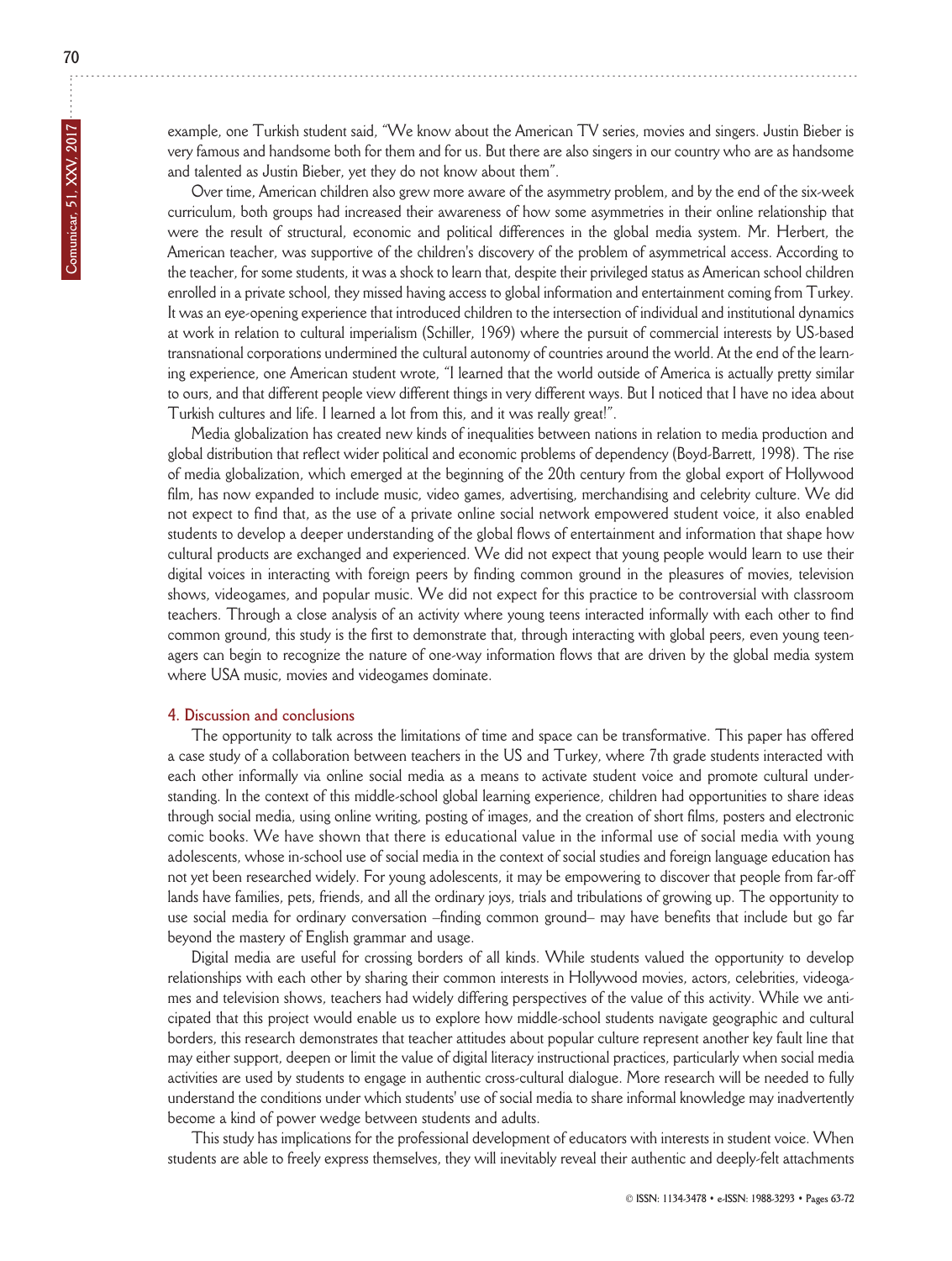example, one Turkish student said, "We know about the American Tv series, movies and singers. Justin Bieber is very famous and handsome both for them and for us. But there are also singers in our country who are as handsome and talented as Justin Bieber, yet they do not know about them".

Over time, American children also grew more aware of the asymmetry problem, and by the end of the six-week curriculum, both groups had increased their awareness of how some asymmetries in their online relationship that were the result of structural, economic and political differences in the global media system. Mr. Herbert, the American teacher, was supportive of the children's discovery of the problem of asymmetrical access. According to the teacher, for some students, it was a shock to learn that, despite their privileged status as American school children enrolled in a private school, they missed having access to global information and entertainment coming from Turkey. It was an eye-opening experience that introduced children to the intersection of individual and institutional dynamics at work in relation to cultural imperialism (Schiller, 1969) where the pursuit of commercial interests by US-based transnational corporations undermined the cultural autonomy of countries around the world. At the end of the learn ing experience, one American student wrote, "I learned that the world outside of America is actually pretty similar to ours, and that different people view different things in very different ways. But I noticed that I have no idea about Turkish cultures and life. I learned a lot from this, and it was really great!".

Media globalization has created new kinds of inequalities between nations in relation to media production and global distribution that reflect wider political and economic problems of dependency (Boyd-Barrett, 1998). The rise of media globalization, which emerged at the beginning of the 20th century from the global export of Hollywood film, has now expanded to include music, video games, advertising, merchandising and celebrity culture. We did not expect to find that, as the use of a private online social network empowered student voice, it also enabled students to develop a deeper understanding of the global flows of entertainment and information that shape how cultural products are exchanged and experienced. We did not expect that young people would learn to use their digital voices in interacting with foreign peers by finding common ground in the pleasures of movies, television shows, videogames, and popular music. We did not expect for this practice to be controversial with classroom teachers. Through a close analysis of an activity where young teens interacted informally with each other to find common ground, this study is the first to demonstrate that, through interacting with global peers, even young teenagers can begin to recognize the nature of one-way information flows that are driven by the global media system where USA music, movies and videogames dominate.

#### **4. Discussion and conclusions**

The opportunity to talk across the limitations of time and space can be transformative. This paper has offered a case study of a collaboration between teachers in the US and Turkey, where 7th grade students interacted with each other informally via online social media as a means to activate student voice and promote cultural understanding. in the context of this middle-school global learning experience, children had opportunities to share ideas through social media, using online writing, posting of images, and the creation of short films, posters and electronic comic books. We have shown that there is educational value in the informal use of social media with young adolescents, whose in-school use of social media in the context of social studies and foreign language education has not yet been researched widely. For young adolescents, it may be empowering to discover that people from far-off lands have families, pets, friends, and all the ordinary joys, trials and tribulations of growing up. The opportunity to use social media for ordinary conversation –finding common ground– may have benefits that include but go far beyond the mastery of English grammar and usage.

Digital media are useful for crossing borders of all kinds. While students valued the opportunity to develop relation ships with each other by sharing their common interests in Hollywood movies, actors, celebrities, videogames and television shows, teachers had widely differing perspectives of the value of this activity. While we anticipated that this project would enable us to explore how middle-school students navigate geographic and cultural borders, this research demonstrates that teacher attitudes about popular culture represent another key fault line that may either support, deepen or limit the value of digital literacy instructional practices, particularly when social media activities are used by students to engage in authentic cross-cultural dialogue. More research will be needed to fully understand the conditions under which students' use of social media to share informal knowledge may inadvertently become a kind of power wedge between students and adults.

This study has implications for the professional development of educators with interests in student voice. When students are able to freely express themselves, they will inevitably reveal their authentic and deeply-felt attachments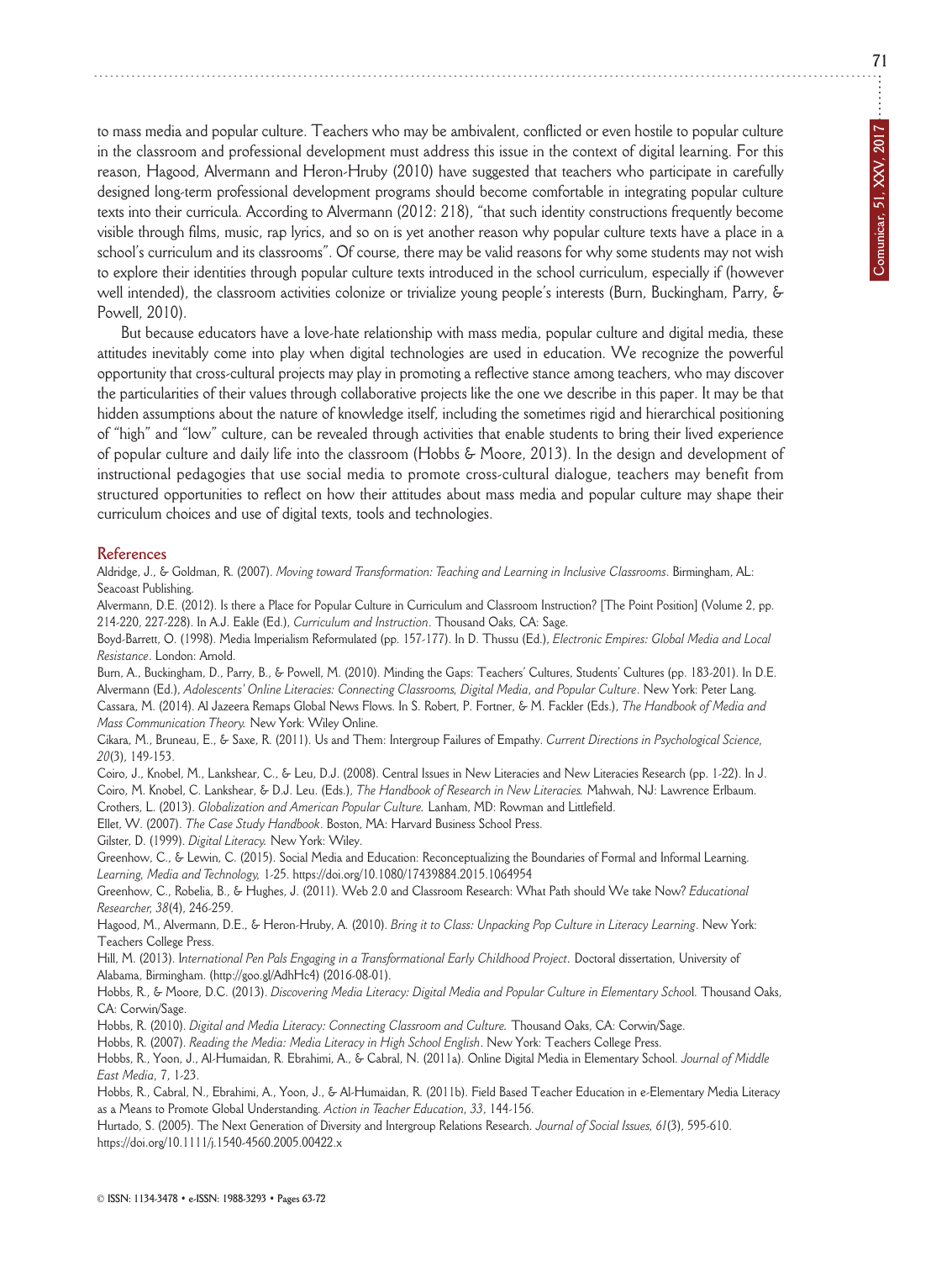to mass media and popular culture. Teachers who may be ambivalent, conflicted or even hostile to popular culture in the classroom and professional development must address this issue in the context of digital learning. For this reason, Hagood, Alvermann and Heron-Hruby (2010) have suggested that teachers who participate in carefully designed long-term professional development programs should become comfortable in integrating popular culture texts into their curricula. According to Alvermann (2012: 218), "that such identity constructions frequently become visible through films, music, rap lyrics, and so on is yet another reason why popular culture texts have a place in a school's curriculum and its classrooms". Of course, there may be valid reasons for why some students may not wish to explore their identities through popular culture texts introduced in the school curriculum, especially if (however well intended), the classroom activities colonize or trivialize young people's interests (Burn, Buckingham, Parry, & Powell, 2010).

But because educators have a love-hate relationship with mass media, popular culture and digital media, these attitudes inevitably come into play when digital technologies are used in education. We recognize the powerful opportunity that cross-cultural projects may play in promoting a reflective stance among teachers, who may discover the particularities of their values through collaborative projects like the one we describe in this paper. it may be that hidden assumptions about the nature of knowledge itself, including the sometimes rigid and hierarchical positioning of "high" and "low" culture, can be revealed through activities that enable students to bring their lived experience of popular culture and daily life into the classroom (Hobbs & Moore, 2013). in the design and development of instructional pedagogies that use social media to promote cross-cultural dialogue, teachers may benefit from structured opportunities to reflect on how their attitudes about mass media and popular culture may shape their curriculum choices and use of digital texts, tools and technologies.

#### **References**

Aldridge, J., & goldman, R. (2007). *Moving toward Transformation: Teaching and Learning in Inclusive Classrooms*. Birmingham, AL: Seacoast Publishing.

Alvermann, d.E. (2012). is there a Place for Popular Culture in Curriculum and Classroom instruction? [The Point Position] (volume 2, pp. 214-220, 227-228). in A.J. Eakle (Ed.), *Curriculum and Instruction*. Thousand oaks, CA: Sage.

Boyd-Barrett, o. (1998). Media imperialism Reformulated (pp. 157-177). in d. Thussu (Ed.), *Electronic Empires: Global Media and Local Resistance*. London: Arnold.

Burn, A., Buckingham, D., Parry, B., & Powell, M. (2010). Minding the Gaps: Teachers' Cultures, Students' Cultures (pp. 183-201). In D.E. Alvermann (Ed.), Adolescents' Online Literacies: Connecting Classrooms, Digital Media, and Popular Culture. New York: Peter Lang. Cassara, M. (2014). Al Jazeera Remaps global news Flows. in S. Robert, P. Fortner, & M. Fackler (Eds.), *The Handbook of Media and Mass Communication Theory.* New York: Wiley Online.

Cikara, M., Bruneau, E., & Saxe, R. (2011). Us and Them: intergroup Failures of Empathy. *Current Directions in Psychological Science, 20*(3), 149-153.

Coiro, J., Knobel, M., Lankshear, C., & Leu, D.J. (2008). Central Issues in New Literacies and New Literacies Research (pp. 1-22). In J. Coiro, M. Knobel, C. Lankshear, & d.J. Leu. (Eds.), *The Handbook of Research in New Literacies.* Mahwah, nJ: Lawrence Erlbaum. Crothers, L. (2013). *Globalization and American Popular Culture.* Lanham, Md: Rowman and Littlefield.

Ellet, W. (2007). *The Case Study Handbook*. Boston, MA: Harvard Business School Press.

Gilster, D. (1999). *Digital Literacy*. New York: Wiley.

Greenhow, C., & Lewin, C. (2015). Social Media and Education: Reconceptualizing the Boundaries of Formal and Informal Learning. *Learning, Media and Technology,* 1-25. https://doi.org/10.1080/17439884.2015.1064954

Greenhow, C., Robelia, B., & Hughes, J. (2011). Web 2.0 and Classroom Research: What Path should We take Now? *Educational Researcher, 38*(4), 246-259.

Hagood, M., Alvermann, D.E., & Heron-Hruby, A. (2010). *Bring it to Class: Unpacking Pop Culture in Literacy Learning*. New York: Teachers College Press.

Hill, M. (2013). *International Pen Pals Engaging in a Transformational Early Childhood Project*. Doctoral dissertation, University of Alabama, Birmingham. (http://goo.gl/AdhHc4) (2016-08-01).

Hobbs, R., & Moore, D.C. (2013). *Discovering Media Literacy: Digital Media and Popular Culture in Elementary School*. Thousand Oaks, CA: Corwin/Sage.

Hobbs, R. (2010). *Digital and Media Literacy: Connecting Classroom and Culture*. Thousand Oaks, CA: Corwin/Sage.

Hobbs, R. (2007). *Reading the Media: Media Literacy in High School English*. new York: Teachers College Press.

Hobbs, R., Yoon, J., Al-Humaidan, R. Ebrahimi, A., & Cabral, N. (2011a). Online Digital Media in Elementary School. *Journal of Middle East Media,* 7, 1-23.

Hobbs, R., Cabral, n., Ebrahimi, A., Yoon, J., & Al-Humaidan, R. (2011b). Field Based Teacher Education in e-Elementary Media Literacy as a Means to Promote global Understanding. *Action in Teacher Education, 33*, 144-156.

Hurtado, S. (2005). The Next Generation of Diversity and Intergroup Relations Research. *Journal of Social Issues*, 61(3), 595-610. https://doi.org/10.1111/j.1540-4560.2005.00422.x